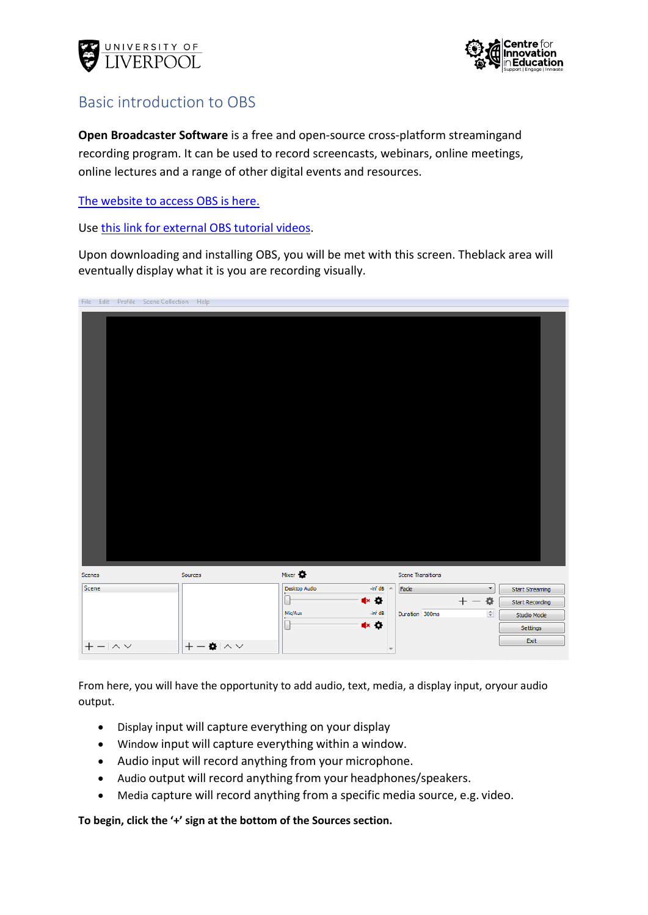



## Basic introduction to OBS

**Open Broadcaster Software** is a free and open-source cross-platform streamingand recording program. It can be used to record screencasts, webinars, online meetings, online lectures and a range of other digital events and resources.

The [website](https://obsproject.com/) to access OBS is here.

Use this link for [external](https://www.youtube.com/watch?v=DTk99mHDX_I) OBS tutorial videos.

Upon downloading and installing OBS, you will be met with this screen. Theblack area will eventually display what it is you are recording visually.

|          |                | File Edit Profile Scene Collection Help |                            |                 |                                             |                                         |                        |
|----------|----------------|-----------------------------------------|----------------------------|-----------------|---------------------------------------------|-----------------------------------------|------------------------|
|          |                |                                         |                            |                 |                                             |                                         |                        |
| Scenes   |                |                                         | Sources                    | Mixer $\bullet$ |                                             | Scene Transitions                       |                        |
| Scene    |                |                                         |                            | Desktop Audio   | -inf dB $\sim$                              | Fade<br>$\blacktriangledown$            | <b>Start Streaming</b> |
|          |                |                                         |                            |                 | 4× 0                                        | 杂<br>$^{+}$<br>$\overline{\phantom{0}}$ | <b>Start Recording</b> |
|          |                |                                         |                            | Mic/Aux         | -inf dB                                     | $\div$<br>Duration 300ms                | Studio Mode            |
|          |                |                                         |                            |                 | $\blacktriangleleft$ × $\blacktriangleleft$ |                                         | Settings               |
| $\,{}^+$ | $- \wedge\vee$ |                                         | $+-\alpha$   $\sim$ $\sim$ |                 |                                             |                                         | Exit                   |

From here, you will have the opportunity to add audio, text, media, a display input, oryour audio output.

- Display input will capture everything on your display
- Window input will capture everything within a window.
- Audio input will record anything from your microphone.
- Audio output will record anything from your headphones/speakers.
- Media capture will record anything from a specific media source, e.g. video.

**To begin, click the '+' sign at the bottom of the Sources section.**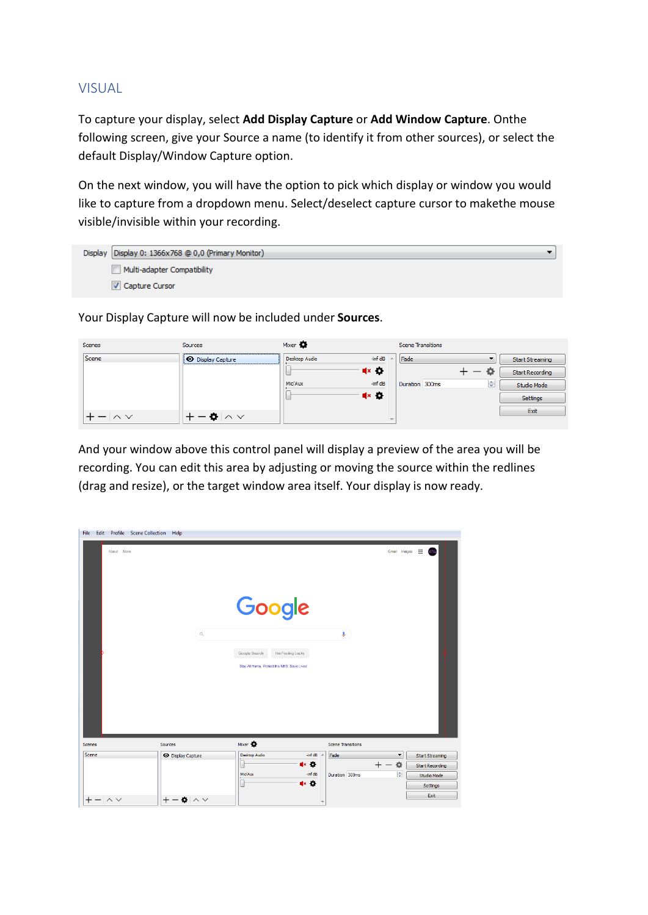## VISUAL

To capture your display, select **Add Display Capture** or **Add Window Capture**. Onthe following screen, give your Source a name (to identify it from other sources), or select the default Display/Window Capture option.

On the next window, you will have the option to pick which display or window you would like to capture from a dropdown menu. Select/deselect capture cursor to makethe mouse visible/invisible within your recording.

| Display Display 0: 1366x768 @ 0,0 (Primary Monitor) |
|-----------------------------------------------------|
| Multi-adapter Compatibility                         |
| <b>V</b> Capture Cursor                             |

Your Display Capture will now be included under **Sources**.

| Scenes          | Sources            | Mixer <b>O</b> |                                                     | <b>Scene Transitions</b> |                 |
|-----------------|--------------------|----------------|-----------------------------------------------------|--------------------------|-----------------|
| <b>Scene</b>    | O Display Capture  | Desktop Audio  | -inf dB                                             | Fade                     | Start Streaming |
|                 |                    |                | $x \cdot 2$                                         |                          | Start Recording |
|                 |                    | Mic/Aux        | $-$ inf dB                                          | ÷<br>Duration 300ms      | Studio Mode     |
|                 |                    |                | $\blacktriangleleft$ $\times$ $\blacktriangleright$ |                          | Settings        |
| $- \wedge \vee$ | $-$ 0 $\land \lor$ |                |                                                     |                          | Exit            |
|                 |                    |                |                                                     |                          |                 |

And your window above this control panel will display a preview of the area you will be recording. You can edit this area by adjusting or moving the source within the redlines (drag and resize), or the target window area itself. Your display is now ready.

| File Edit<br>Profile Scene Collection Help |                                         |                                           |                          |                                                |
|--------------------------------------------|-----------------------------------------|-------------------------------------------|--------------------------|------------------------------------------------|
| About Store                                |                                         |                                           |                          | 曲<br>Gmail Images                              |
|                                            |                                         | Google                                    |                          |                                                |
|                                            | $\hbox{\ensuremath{\mathsf{Q}}}\xspace$ | Google Search<br>I'm Feeling Lucky        | v                        |                                                |
|                                            |                                         | Stay At Home, Protect the NHS. Save Lives |                          |                                                |
|                                            |                                         |                                           |                          |                                                |
|                                            |                                         |                                           |                          |                                                |
|                                            |                                         |                                           |                          |                                                |
|                                            |                                         |                                           |                          |                                                |
| Scenes                                     | Sources                                 | Mixer <b>O</b>                            | <b>Scene Transitions</b> |                                                |
| Scene                                      | <b>O</b> Display Capture                | Desktop Audio<br>-inf dB                  | Fade                     | $\blacktriangledown$<br><b>Start Streaming</b> |
|                                            |                                         | ∎× O<br>L                                 | $^{+}$                   | 烧<br><b>Start Recording</b>                    |
|                                            |                                         | -inf dB<br>Mic/Aux<br>L<br>$x$ o          | Duration 300ms           | $\Rightarrow$<br>Studio Mode                   |
|                                            |                                         |                                           |                          | Settings                                       |
| $+-  \wedge \vee$                          | $+-\bullet \wedge \vee$                 |                                           |                          | Exit                                           |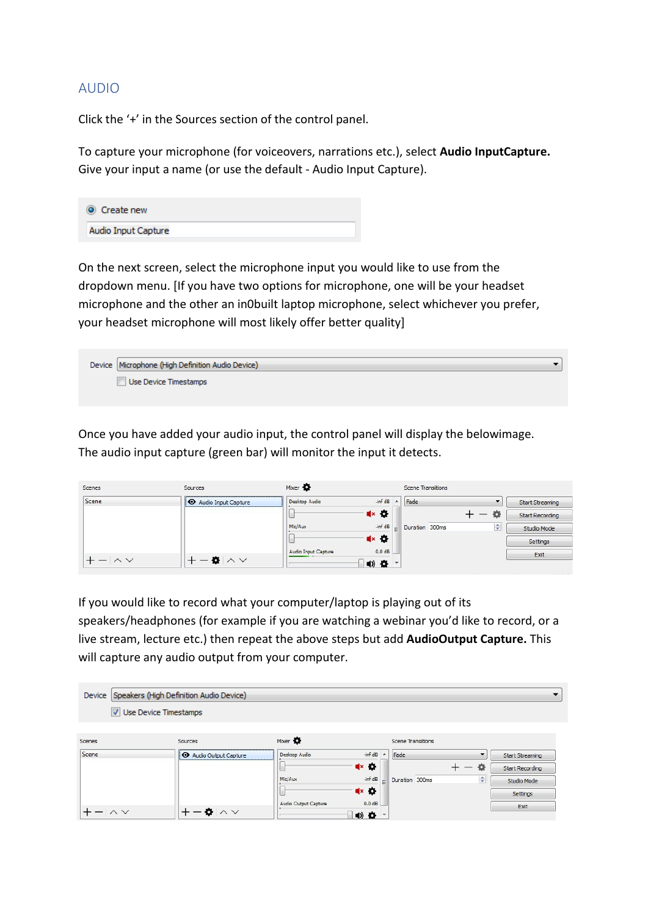## AUDIO

Click the '+' in the Sources section of the control panel.

To capture your microphone (for voiceovers, narrations etc.), select **Audio InputCapture.** Give your input a name (or use the default - Audio Input Capture).



On the next screen, select the microphone input you would like to use from the dropdown menu. [If you have two options for microphone, one will be your headset microphone and the other an in0built laptop microphone, select whichever you prefer, your headset microphone will most likely offer better quality]

 $\blacktriangledown$ Device Microphone (High Definition Audio Device) Use Device Timestamps

Once you have added your audio input, the control panel will display the belowimage. The audio input capture (green bar) will monitor the input it detects.

| Scenes           | Sources                      | Mixer <b>O</b>      |                                             |                          | <b>Scene Transitions</b> |   |                        |
|------------------|------------------------------|---------------------|---------------------------------------------|--------------------------|--------------------------|---|------------------------|
| Scene            | <b>O</b> Audio Input Capture | Desktop Audio       | $-inf dB$                                   | $\blacktriangle$         | Fade                     |   | <b>Start Streaming</b> |
|                  |                              |                     | $\blacktriangleleft$ x $\blacktriangleleft$ |                          |                          |   | <b>Start Recording</b> |
|                  |                              | Mic/Aux             | $-inf dB$                                   | $=$                      | Duration 300ms           | ÷ | Studio Mode            |
|                  |                              |                     | $\blacktriangle \bullet$                    |                          |                          |   | Settings               |
|                  |                              | Audio Input Capture | $0.0$ dB                                    |                          |                          |   | Exit                   |
| $ \wedge$ $\vee$ | $-$ 0 $\land$ $\lor$         |                     | $\bullet$ $\bullet$                         | $\overline{\phantom{a}}$ |                          |   |                        |

If you would like to record what your computer/laptop is playing out of its speakers/headphones (for example if you are watching a webinar you'd like to record, or a live stream, lecture etc.) then repeat the above steps but add **AudioOutput Capture.** This will capture any audio output from your computer.

| Device       | Speakers (High Definition Audio Device) |                      |                                                     |                          |                          |                        |
|--------------|-----------------------------------------|----------------------|-----------------------------------------------------|--------------------------|--------------------------|------------------------|
|              | V Use Device Timestamps                 |                      |                                                     |                          |                          |                        |
| Scenes       | Sources                                 | Mixer <b>O</b>       |                                                     | <b>Scene Transitions</b> |                          |                        |
| Scene        | Audio Output Capture                    | Desktop Audio        | $-inf$ dB<br>$\overline{\phantom{a}}$               | Fade                     | $\overline{\phantom{a}}$ | <b>Start Streaming</b> |
|              |                                         |                      | $\blacktriangleleft$ $\times$ $\blacktriangleright$ |                          | Ð                        | <b>Start Recording</b> |
|              |                                         | Mic/Aux              | -inf dB                                             | Duration 300ms           | $\div$                   | Studio Mode            |
|              |                                         |                      | $\blacktriangleleft$ $\times$ $\blacktriangleright$ |                          |                          | Settings               |
| $\wedge\vee$ | $\bullet \land \lor$                    | Audio Output Capture | $0.0$ dB<br>4) 卷                                    |                          |                          | Exit                   |